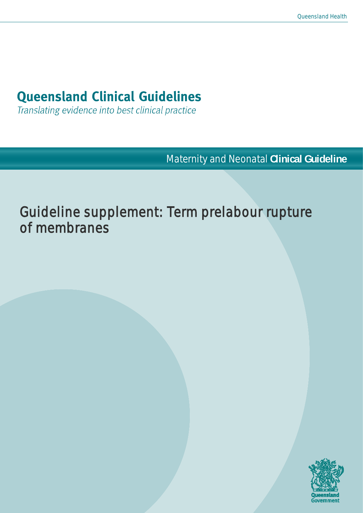# **Queensland Clinical Guidelines**

Translating evidence into best clinical practice

Maternity and Neonatal **Clinical Guideline**

Guideline supplement: Term prelabour rupture of membranes

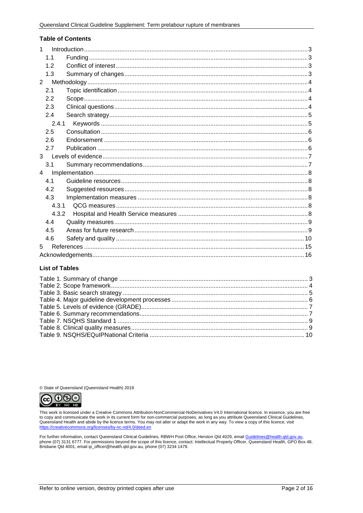### **Table of Contents**

| 1              |  |
|----------------|--|
| 1.1            |  |
| 12             |  |
| 1.3            |  |
| $\overline{2}$ |  |
|                |  |
| 2.1            |  |
| 2.2            |  |
| 2.3            |  |
| 2.4            |  |
| 2.4.1          |  |
| 2.5            |  |
| 2.6            |  |
| 2.7            |  |
| 3              |  |
| 3.1            |  |
| $\overline{4}$ |  |
| 41             |  |
| 4.2            |  |
| 4.3            |  |
| 4.3.1          |  |
|                |  |
| 4.3.2          |  |
| 4.4            |  |
| 4.5            |  |
| 4.6            |  |
| 5              |  |
|                |  |

### **List of Tables**

© State of Queensland (Queensland Health) 2018



This work is licensed under a Creative Commons Attribution-NonCommercial-NoDerivatives V4.0 International licence. In essence, you are free to copy and communicate the work in its current form for non-commercial purposes, as long as you attribute Queensland Clinical Guidelines, Queensland Health and abide by the licence terms. You may not alter or adapt the work in any way. To view a copy of this licence, visit https://creative ommons.org/lice nses/by-nc-nd/4.0/deed.en

For further information, contact Queensland Clinical Guidelines, RBWH Post Office, Herston Qld 4029, email <u>Guidelines@health.qld.gov.au,</u><br>phone (07) 3131 6777. For permissions beyond the scope of this licence, contact: In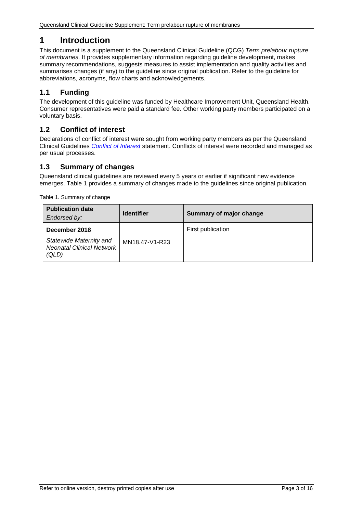# <span id="page-2-0"></span>**1 Introduction**

This document is a supplement to the Queensland Clinical Guideline (QCG) *Term prelabour rupture of membranes.* It provides supplementary information regarding guideline development, makes summary recommendations, suggests measures to assist implementation and quality activities and summarises changes (if any) to the guideline since original publication. Refer to the guideline for abbreviations, acronyms, flow charts and acknowledgements.

# <span id="page-2-1"></span>**1.1 Funding**

The development of this guideline was funded by Healthcare Improvement Unit, Queensland Health. Consumer representatives were paid a standard fee. Other working party members participated on a voluntary basis.

### <span id="page-2-2"></span>**1.2 Conflict of interest**

Declarations of conflict of interest were sought from working party members as per the Queensland Clinical Guidelines *[Conflict of Interest](http://www.health.qld.gov.au/qcg/development#coi)* statement. Conflicts of interest were recorded and managed as per usual processes.

## <span id="page-2-3"></span>**1.3 Summary of changes**

Queensland clinical guidelines are reviewed every 5 years or earlier if significant new evidence emerges. [Table 1](#page-2-4) provides a summary of changes made to the guidelines since original publication.

<span id="page-2-4"></span>Table 1. Summary of change

| <b>Publication date</b><br>Endorsed by:                                               | <b>Identifier</b> | Summary of major change |
|---------------------------------------------------------------------------------------|-------------------|-------------------------|
| December 2018<br>Statewide Maternity and<br><b>Neonatal Clinical Network</b><br>(QLD) | MN18.47-V1-R23    | First publication       |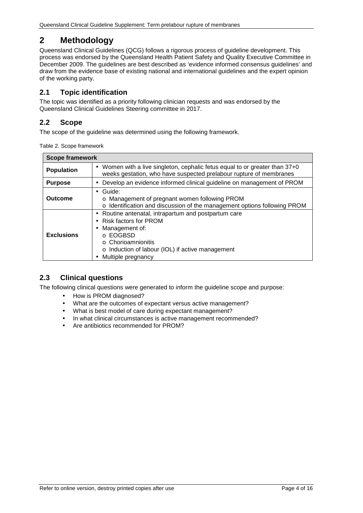# <span id="page-3-0"></span>**2 Methodology**

Queensland Clinical Guidelines (QCG) follows a rigorous process of guideline development. This process was endorsed by the Queensland Health Patient Safety and Quality Executive Committee in December 2009. The guidelines are best described as 'evidence informed consensus guidelines' and draw from the evidence base of existing national and international guidelines and the expert opinion of the working party.

## <span id="page-3-1"></span>**2.1 Topic identification**

The topic was identified as a priority following clinician requests and was endorsed by the Queensland Clinical Guidelines Steering committee in 2017.

# <span id="page-3-2"></span>**2.2 Scope**

<span id="page-3-4"></span>The scope of the guideline was determined using the following framework.

| Table 2. Scope framework |  |  |
|--------------------------|--|--|
|--------------------------|--|--|

| <b>Scope framework</b>                                                                                                                                               |                                                                                                                                                                                                                        |  |  |  |
|----------------------------------------------------------------------------------------------------------------------------------------------------------------------|------------------------------------------------------------------------------------------------------------------------------------------------------------------------------------------------------------------------|--|--|--|
| Women with a live singleton, cephalic fetus equal to or greater than 37+0<br><b>Population</b><br>weeks gestation, who have suspected prelabour rupture of membranes |                                                                                                                                                                                                                        |  |  |  |
| <b>Purpose</b>                                                                                                                                                       | Develop an evidence informed clinical guideline on management of PROM                                                                                                                                                  |  |  |  |
| <b>Outcome</b>                                                                                                                                                       | Guide:<br>o Management of pregnant women following PROM<br>o Identification and discussion of the management options following PROM                                                                                    |  |  |  |
| <b>Exclusions</b>                                                                                                                                                    | Routine antenatal, intrapartum and postpartum care<br><b>Risk factors for PROM</b><br>Management of:<br>o EOGBSD<br>$\circ$ Chorioamnionitis<br>o Induction of labour (IOL) if active management<br>Multiple pregnancy |  |  |  |

### <span id="page-3-3"></span>**2.3 Clinical questions**

The following clinical questions were generated to inform the guideline scope and purpose:

- How is PROM diagnosed?
- What are the outcomes of expectant versus active management?
- What is best model of care during expectant management?
- In what clinical circumstances is active management recommended?
- Are antibiotics recommended for PROM?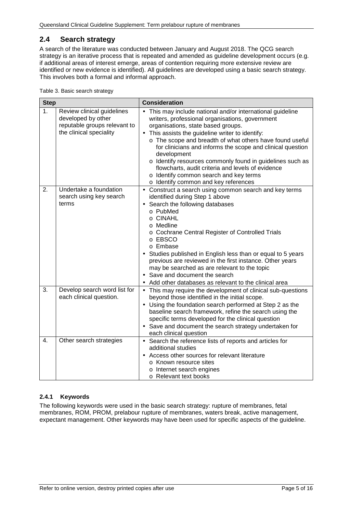# <span id="page-4-0"></span>**2.4 Search strategy**

A search of the literature was conducted between January and August 2018. The QCG search strategy is an iterative process that is repeated and amended as guideline development occurs (e.g. if additional areas of interest emerge, areas of contention requiring more extensive review are identified or new evidence is identified). All guidelines are developed using a basic search strategy. This involves both a formal and informal approach.

<span id="page-4-2"></span>Table 3. Basic search strategy

| <b>Step</b> |                                                                                                             | <b>Consideration</b>                                                                                                                                                                                                                                                                                                                                                                                                                                                                                                                                               |  |  |
|-------------|-------------------------------------------------------------------------------------------------------------|--------------------------------------------------------------------------------------------------------------------------------------------------------------------------------------------------------------------------------------------------------------------------------------------------------------------------------------------------------------------------------------------------------------------------------------------------------------------------------------------------------------------------------------------------------------------|--|--|
| 1.          | Review clinical guidelines<br>developed by other<br>reputable groups relevant to<br>the clinical speciality | This may include national and/or international guideline<br>writers, professional organisations, government<br>organisations, state based groups.<br>This assists the guideline writer to identify:<br>$\blacksquare$<br>o The scope and breadth of what others have found useful<br>for clinicians and informs the scope and clinical question<br>development<br>o Identify resources commonly found in guidelines such as<br>flowcharts, audit criteria and levels of evidence<br>o Identify common search and key terms<br>o Identify common and key references |  |  |
| 2.          | Undertake a foundation<br>search using key search<br>terms                                                  | Construct a search using common search and key terms<br>ä,<br>identified during Step 1 above<br>Search the following databases<br>o PubMed<br>o CINAHL<br>o Medline<br>o Cochrane Central Register of Controlled Trials<br>o EBSCO<br>o Embase<br>Studies published in English less than or equal to 5 years<br>previous are reviewed in the first instance. Other years<br>may be searched as are relevant to the topic<br>Save and document the search<br>Add other databases as relevant to the clinical area                                                   |  |  |
| 3.          | Develop search word list for<br>each clinical question.                                                     | This may require the development of clinical sub-questions<br>¥,<br>beyond those identified in the initial scope.<br>Using the foundation search performed at Step 2 as the<br>baseline search framework, refine the search using the<br>specific terms developed for the clinical question<br>· Save and document the search strategy undertaken for<br>each clinical question                                                                                                                                                                                    |  |  |
| 4.          | Other search strategies                                                                                     | Search the reference lists of reports and articles for<br>$\blacksquare$<br>additional studies<br>Access other sources for relevant literature<br>o Known resource sites<br>o Internet search engines<br>o Relevant text books                                                                                                                                                                                                                                                                                                                                     |  |  |

### <span id="page-4-1"></span>**2.4.1 Keywords**

The following keywords were used in the basic search strategy: rupture of membranes, fetal membranes, ROM, PROM, prelabour rupture of membranes, waters break, active management, expectant management. Other keywords may have been used for specific aspects of the guideline.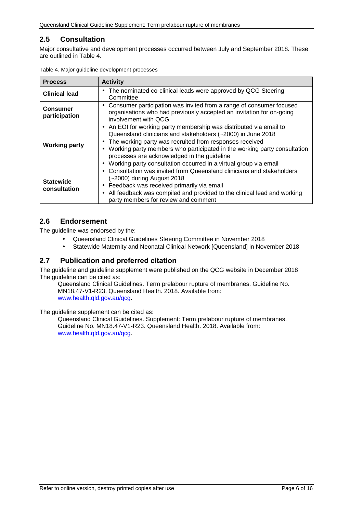# <span id="page-5-0"></span>**2.5 Consultation**

Major consultative and development processes occurred between July and September 2018. These are outlined in [Table 4.](#page-5-3)

| <b>Process</b>                   | <b>Activity</b>                                                                                                                                                                                                                                                                                                                                                                                                        |
|----------------------------------|------------------------------------------------------------------------------------------------------------------------------------------------------------------------------------------------------------------------------------------------------------------------------------------------------------------------------------------------------------------------------------------------------------------------|
| <b>Clinical lead</b>             | The nominated co-clinical leads were approved by QCG Steering<br>٠.<br>Committee                                                                                                                                                                                                                                                                                                                                       |
| <b>Consumer</b><br>participation | Consumer participation was invited from a range of consumer focused<br>organisations who had previously accepted an invitation for on-going<br>involvement with QCG                                                                                                                                                                                                                                                    |
| <b>Working party</b>             | An EOI for working party membership was distributed via email to<br>Queensland clinicians and stakeholders (~2000) in June 2018<br>The working party was recruited from responses received<br>٠<br>Working party members who participated in the working party consultation<br>×,<br>processes are acknowledged in the guideline<br>Working party consultation occurred in a virtual group via email<br>$\blacksquare$ |
| <b>Statewide</b><br>consultation | Consultation was invited from Queensland clinicians and stakeholders<br>$\blacksquare$<br>(~2000) during August 2018<br>Feedback was received primarily via email<br>٠<br>All feedback was compiled and provided to the clinical lead and working<br>٠<br>party members for review and comment                                                                                                                         |

<span id="page-5-3"></span>Table 4. Major guideline development processes

### <span id="page-5-1"></span>**2.6 Endorsement**

The guideline was endorsed by the:

- Queensland Clinical Guidelines Steering Committee in November 2018
- Statewide Maternity and Neonatal Clinical Network [Queensland] in November 2018  $\overline{a}$

### <span id="page-5-2"></span>**2.7 Publication and preferred citation**

The guideline and guideline supplement were published on the QCG website in December 2018 The guideline can be cited as:

Queensland Clinical Guidelines. Term prelabour rupture of membranes. Guideline No. MN18.47-V1-R23. Queensland Health. 2018. Available from: [www.health.qld.gov.au/qcg.](http://www.health.qld.gov.au/qcg)

The guideline supplement can be cited as:

Queensland Clinical Guidelines. Supplement: Term prelabour rupture of membranes. Guideline No. MN18.47-V1-R23. Queensland Health. 2018. Available from: [www.health.qld.gov.au/qcg.](http://www.health.qld.gov.au/qcg)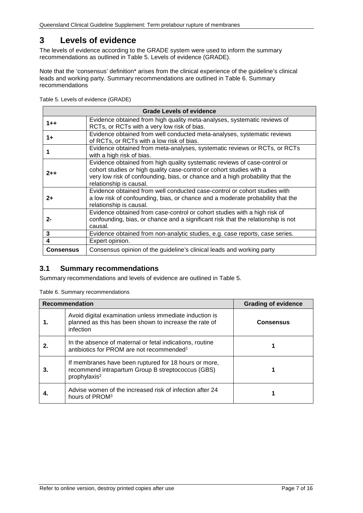# <span id="page-6-0"></span>**3 Levels of evidence**

The levels of evidence according to the GRADE system were used to inform the summary recommendations as outlined in Table 5. [Levels of evidence \(GRADE\).](#page-6-2)

Note that the 'consensus' definition\* arises from the clinical experience of the quideline's clinical leads and working party. Summary recommendations are outlined in [Table 6. Summary](#page-6-3)  [recommendations](#page-6-3)

<span id="page-6-2"></span>Table 5. Levels of evidence (GRADE)

| <b>Grade Levels of evidence</b> |                                                                                                                                                                                                                                                               |  |  |  |
|---------------------------------|---------------------------------------------------------------------------------------------------------------------------------------------------------------------------------------------------------------------------------------------------------------|--|--|--|
| $1 + +$                         | Evidence obtained from high quality meta-analyses, systematic reviews of<br>RCTs, or RCTs with a very low risk of bias.                                                                                                                                       |  |  |  |
| 1+                              | Evidence obtained from well conducted meta-analyses, systematic reviews<br>of RCTs, or RCTs with a low risk of bias.                                                                                                                                          |  |  |  |
|                                 | Evidence obtained from meta-analyses, systematic reviews or RCTs, or RCTs<br>with a high risk of bias.                                                                                                                                                        |  |  |  |
| $2 + +$                         | Evidence obtained from high quality systematic reviews of case-control or<br>cohort studies or high quality case-control or cohort studies with a<br>very low risk of confounding, bias, or chance and a high probability that the<br>relationship is causal. |  |  |  |
| $2+$                            | Evidence obtained from well conducted case-control or cohort studies with<br>a low risk of confounding, bias, or chance and a moderate probability that the<br>relationship is causal.                                                                        |  |  |  |
| $2 -$                           | Evidence obtained from case-control or cohort studies with a high risk of<br>confounding, bias, or chance and a significant risk that the relationship is not<br>causal.                                                                                      |  |  |  |
| 3                               | Evidence obtained from non-analytic studies, e.g. case reports, case series.                                                                                                                                                                                  |  |  |  |
| 4                               | Expert opinion.                                                                                                                                                                                                                                               |  |  |  |
| <b>Consensus</b>                | Consensus opinion of the guideline's clinical leads and working party                                                                                                                                                                                         |  |  |  |

### <span id="page-6-1"></span>**3.1 Summary recommendations**

<span id="page-6-3"></span>Summary recommendations and levels of evidence are outlined in Table 5.

Table 6. Summary recommendations

| <b>Recommendation</b> |                                                                                                                                        | <b>Grading of evidence</b> |
|-----------------------|----------------------------------------------------------------------------------------------------------------------------------------|----------------------------|
|                       | Avoid digital examination unless immediate induction is<br>planned as this has been shown to increase the rate of<br>infection         | <b>Consensus</b>           |
| 2.                    | In the absence of maternal or fetal indications, routine<br>antibiotics for PROM are not recommended <sup>1</sup>                      |                            |
| З.                    | If membranes have been ruptured for 18 hours or more,<br>recommend intrapartum Group B streptococcus (GBS)<br>prophylaxis <sup>2</sup> |                            |
|                       | Advise women of the increased risk of infection after 24<br>hours of PROM <sup>3</sup>                                                 |                            |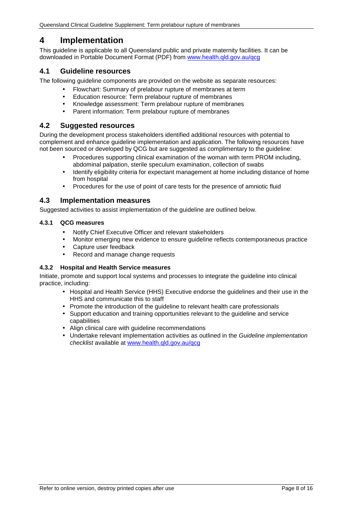# <span id="page-7-0"></span>**4 Implementation**

This guideline is applicable to all Queensland public and private maternity facilities. It can be downloaded in Portable Document Format (PDF) from [www.health.qld.gov.au/qcg](http://www.health.qld.gov.au/qcg)

### <span id="page-7-1"></span>**4.1 Guideline resources**

The following guideline components are provided on the website as separate resources:

- Flowchart: Summary of prelabour rupture of membranes at term
- Education resource: Term prelabour rupture of membranes
- Knowledge assessment: Term prelabour rupture of membranes
- Parent information: Term prelabour rupture of membranes

### <span id="page-7-2"></span>**4.2 Suggested resources**

During the development process stakeholders identified additional resources with potential to complement and enhance guideline implementation and application. The following resources have not been sourced or developed by QCG but are suggested as complimentary to the guideline:

- Procedures supporting clinical examination of the woman with term PROM including, abdominal palpation, sterile speculum examination, collection of swabs
- Identify eligibility criteria for expectant management at home including distance of home from hospital
- Procedures for the use of point of care tests for the presence of amniotic fluid

### <span id="page-7-3"></span>**4.3 Implementation measures**

Suggested activities to assist implementation of the guideline are outlined below.

### <span id="page-7-4"></span>**4.3.1 QCG measures**

- Notify Chief Executive Officer and relevant stakeholders
- Monitor emerging new evidence to ensure guideline reflects contemporaneous practice
- Capture user feedback
- Record and manage change requests

### <span id="page-7-5"></span>**4.3.2 Hospital and Health Service measures**

Initiate, promote and support local systems and processes to integrate the guideline into clinical practice, including:

- Hospital and Health Service (HHS) Executive endorse the guidelines and their use in the HHS and communicate this to staff
- Promote the introduction of the guideline to relevant health care professionals
- Support education and training opportunities relevant to the guideline and service capabilities
- Align clinical care with guideline recommendations
- Undertake relevant implementation activities as outlined in the *Guideline implementation checklist* available at [www.health.qld.gov.au/qcg](http://www.health.qld.gov.au/qcg)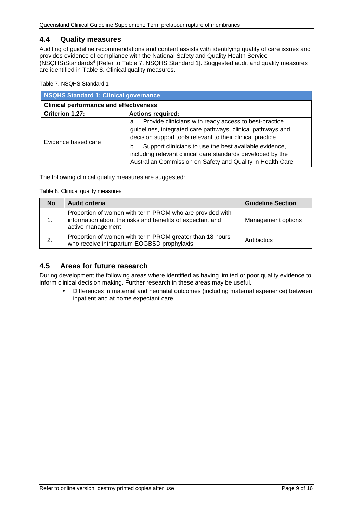### <span id="page-8-0"></span>**4.4 Quality measures**

Auditing of guideline recommendations and content assists with identifying quality of care issues and provides evidence of compliance with the National Safety and Quality Health Service (NSQHS)Standards4 [Refer to Table 7. [NSQHS Standard 1\]](#page-8-2). Suggested audit and quality measures are identified in [Table 8. Clinical quality measures.](#page-8-3)

<span id="page-8-2"></span>Table 7. NSQHS Standard 1

| <b>NSQHS Standard 1: Clinical governance</b>  |                                                                                                                                                                                           |  |
|-----------------------------------------------|-------------------------------------------------------------------------------------------------------------------------------------------------------------------------------------------|--|
| <b>Clinical performance and effectiveness</b> |                                                                                                                                                                                           |  |
| Criterion 1.27:                               | <b>Actions required:</b>                                                                                                                                                                  |  |
|                                               | Provide clinicians with ready access to best-practice<br>a.<br>guidelines, integrated care pathways, clinical pathways and<br>decision support tools relevant to their clinical practice  |  |
| Evidence based care                           | Support clinicians to use the best available evidence,<br>b.<br>including relevant clinical care standards developed by the<br>Australian Commission on Safety and Quality in Health Care |  |

<span id="page-8-3"></span>The following clinical quality measures are suggested:

Table 8. Clinical quality measures

| <b>No</b> | <b>Audit criteria</b>                                                                                                                      | <b>Guideline Section</b> |
|-----------|--------------------------------------------------------------------------------------------------------------------------------------------|--------------------------|
| 1.        | Proportion of women with term PROM who are provided with<br>information about the risks and benefits of expectant and<br>active management | Management options       |
| 2.        | Proportion of women with term PROM greater than 18 hours<br>who receive intrapartum EOGBSD prophylaxis                                     | Antibiotics              |

### <span id="page-8-1"></span>**4.5 Areas for future research**

During development the following areas where identified as having limited or poor quality evidence to inform clinical decision making. Further research in these areas may be useful.

Differences in maternal and neonatal outcomes (including maternal experience) between inpatient and at home expectant care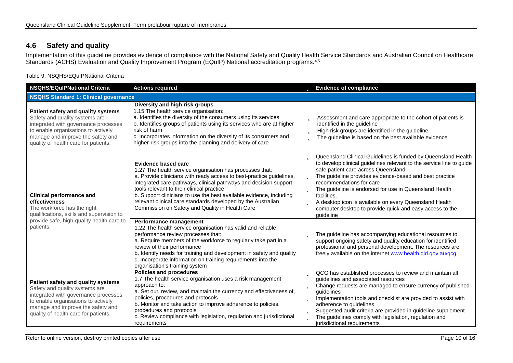# **4.6 Safety and quality**

Implementation of this guideline provides evidence of compliance with the National Safety and Quality Health Service Standards and Australian Council on Healthcare Standards (ACHS) Evaluation and Quality Improvement Program (EQuIP) National accreditation programs.<sup>4,5</sup>

Table 9. NSQHS/EQuIPNational Criteria

<span id="page-9-1"></span><span id="page-9-0"></span>

| <b>NSQHS/EQuIPNational Criteria</b>                                                                                                                                                                                              | <b>Actions required</b>                                                                                                                                                                                                                                                                                                                                                                                                                                                   | <b>b</b> Evidence of compliance                                                                                                                                                                                                                                                                                                                                                                                                                                                                            |  |  |
|----------------------------------------------------------------------------------------------------------------------------------------------------------------------------------------------------------------------------------|---------------------------------------------------------------------------------------------------------------------------------------------------------------------------------------------------------------------------------------------------------------------------------------------------------------------------------------------------------------------------------------------------------------------------------------------------------------------------|------------------------------------------------------------------------------------------------------------------------------------------------------------------------------------------------------------------------------------------------------------------------------------------------------------------------------------------------------------------------------------------------------------------------------------------------------------------------------------------------------------|--|--|
| <b>NSQHS Standard 1: Clinical governance</b>                                                                                                                                                                                     |                                                                                                                                                                                                                                                                                                                                                                                                                                                                           |                                                                                                                                                                                                                                                                                                                                                                                                                                                                                                            |  |  |
| Patient safety and quality systems<br>Safety and quality systems are<br>integrated with governance processes<br>to enable organisations to actively<br>manage and improve the safety and<br>quality of health care for patients. | Diversity and high risk groups<br>1.15 The health service organisation:<br>a. Identifies the diversity of the consumers using its services<br>b. Identifies groups of patients using its services who are at higher<br>risk of harm<br>c. Incorporates information on the diversity of its consumers and<br>higher-risk groups into the planning and delivery of care                                                                                                     | Assessment and care appropriate to the cohort of patients is<br>b<br>identified in the guideline<br>High risk groups are identified in the guideline<br>þ<br>The guideline is based on the best available evidence<br>ь                                                                                                                                                                                                                                                                                    |  |  |
| <b>Clinical performance and</b><br>effectiveness<br>The workforce has the right<br>qualifications, skills and supervision to                                                                                                     | <b>Evidence based care</b><br>1.27 The health service organisation has processes that:<br>a. Provide clinicians with ready access to best-practice guidelines,<br>integrated care pathways, clinical pathways and decision support<br>tools relevant to their clinical practice<br>b. Support clinicians to use the best available evidence, including<br>relevant clinical care standards developed by the Australian<br>Commission on Safety and Quality in Health Care | <b>b</b> Queensland Clinical Guidelines is funded by Queensland Health<br>to develop clinical guidelines relevant to the service line to guide<br>safe patient care across Queensland<br><b>b</b> The guideline provides evidence-based and best practice<br>recommendations for care<br><b>b</b> The guideline is endorsed for use in Queensland Health<br>facilities.<br>A desktop icon is available on every Queensland Health<br>computer desktop to provide quick and easy access to the<br>quideline |  |  |
| provide safe, high-quality health care to<br>patients.                                                                                                                                                                           | Performance management<br>1.22 The health service organisation has valid and reliable<br>performance review processes that:<br>a. Require members of the workforce to regularly take part in a<br>review of their performance<br>b. Identify needs for training and development in safety and quality<br>c. Incorporate information on training requirements into the<br>organisation's training system                                                                   | The guideline has accompanying educational resources to<br>b<br>support ongoing safety and quality education for identified<br>professional and personal development. The resources are<br>freely available on the internet www.health.qld.gov.au/qcg                                                                                                                                                                                                                                                      |  |  |
| Patient safety and quality systems<br>Safety and quality systems are<br>integrated with governance processes<br>to enable organisations to actively<br>manage and improve the safety and<br>quality of health care for patients. | <b>Policies and procedures</b><br>1.7 The health service organisation uses a risk management<br>approach to:<br>a. Set out, review, and maintain the currency and effectiveness of,<br>policies, procedures and protocols<br>b. Monitor and take action to improve adherence to policies,<br>procedures and protocols<br>c. Review compliance with legislation, regulation and jurisdictional<br>requirements                                                             | QCG has established processes to review and maintain all<br>b<br>guidelines and associated resources<br><b>b</b> Change requests are managed to ensure currency of published<br>quidelines<br>Implementation tools and checklist are provided to assist with<br>Þ<br>adherence to guidelines<br>Suggested audit criteria are provided in guideline supplement<br>The guidelines comply with legislation, regulation and<br>ь<br>jurisdictional requirements                                                |  |  |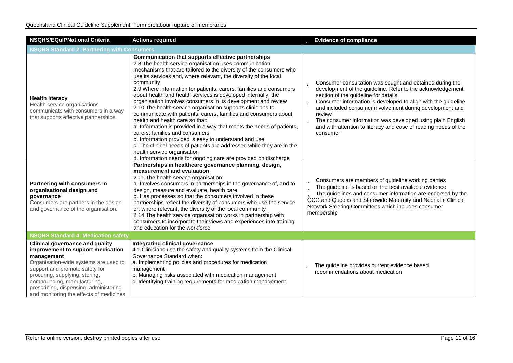| <b>NSQHS/EQulPNational Criteria</b>                                                                                                                                                                                                                                                                                        | <b>Actions required</b>                                                                                                                                                                                                                                                                                                                                                                                                                                                                                                                                                                                                                                                                                                                                                                                                                                                                                                                                                                         | <b>b</b> Evidence of compliance                                                                                                                                                                                                                                                                                                                                                                                                                                           |  |  |
|----------------------------------------------------------------------------------------------------------------------------------------------------------------------------------------------------------------------------------------------------------------------------------------------------------------------------|-------------------------------------------------------------------------------------------------------------------------------------------------------------------------------------------------------------------------------------------------------------------------------------------------------------------------------------------------------------------------------------------------------------------------------------------------------------------------------------------------------------------------------------------------------------------------------------------------------------------------------------------------------------------------------------------------------------------------------------------------------------------------------------------------------------------------------------------------------------------------------------------------------------------------------------------------------------------------------------------------|---------------------------------------------------------------------------------------------------------------------------------------------------------------------------------------------------------------------------------------------------------------------------------------------------------------------------------------------------------------------------------------------------------------------------------------------------------------------------|--|--|
| <b>NSQHS Standard 2: Partnering with Consumers</b>                                                                                                                                                                                                                                                                         |                                                                                                                                                                                                                                                                                                                                                                                                                                                                                                                                                                                                                                                                                                                                                                                                                                                                                                                                                                                                 |                                                                                                                                                                                                                                                                                                                                                                                                                                                                           |  |  |
| <b>Health literacy</b><br>Health service organisations<br>communicate with consumers in a way<br>that supports effective partnerships.                                                                                                                                                                                     | Communication that supports effective partnerships<br>2.8 The health service organisation uses communication<br>mechanisms that are tailored to the diversity of the consumers who<br>use its services and, where relevant, the diversity of the local<br>community<br>2.9 Where information for patients, carers, families and consumers<br>about health and health services is developed internally, the<br>organisation involves consumers in its development and review<br>2.10 The health service organisation supports clinicians to<br>communicate with patients, carers, families and consumers about<br>health and health care so that:<br>a. Information is provided in a way that meets the needs of patients,<br>carers, families and consumers<br>b. Information provided is easy to understand and use<br>c. The clinical needs of patients are addressed while they are in the<br>health service organisation<br>d. Information needs for ongoing care are provided on discharge | <b>b</b> Consumer consultation was sought and obtained during the<br>development of the guideline. Refer to the acknowledgement<br>section of the guideline for details<br><b>b</b> Consumer information is developed to align with the guideline<br>and included consumer involvement during development and<br>review<br>The consumer information was developed using plain English<br>b<br>and with attention to literacy and ease of reading needs of the<br>consumer |  |  |
| Partnering with consumers in<br>organisational design and<br>governance<br>Consumers are partners in the design<br>and governance of the organisation.                                                                                                                                                                     | Partnerships in healthcare governance planning, design,<br>measurement and evaluation<br>2.11 The health service organisation:<br>a. Involves consumers in partnerships in the governance of, and to<br>design, measure and evaluate, health care<br>b. Has processes so that the consumers involved in these<br>partnerships reflect the diversity of consumers who use the service<br>or, where relevant, the diversity of the local community<br>2.14 The health service organisation works in partnership with<br>consumers to incorporate their views and experiences into training<br>and education for the workforce                                                                                                                                                                                                                                                                                                                                                                     | <b>D</b> Consumers are members of guideline working parties<br>The guideline is based on the best available evidence<br>The guidelines and consumer information are endorsed by the<br>QCG and Queensland Statewide Maternity and Neonatal Clinical<br>Network Steering Committees which includes consumer<br>membership                                                                                                                                                  |  |  |
| <b>NSQHS Standard 4: Medication safety</b>                                                                                                                                                                                                                                                                                 |                                                                                                                                                                                                                                                                                                                                                                                                                                                                                                                                                                                                                                                                                                                                                                                                                                                                                                                                                                                                 |                                                                                                                                                                                                                                                                                                                                                                                                                                                                           |  |  |
| <b>Clinical governance and quality</b><br>improvement to support medication<br>management<br>Organisation-wide systems are used to<br>support and promote safety for<br>procuring, supplying, storing,<br>compounding, manufacturing,<br>prescribing, dispensing, administering<br>and monitoring the effects of medicines | Integrating clinical governance<br>4.1 Clinicians use the safety and quality systems from the Clinical<br>Governance Standard when:<br>a. Implementing policies and procedures for medication<br>management<br>b. Managing risks associated with medication management<br>c. Identifying training requirements for medication management                                                                                                                                                                                                                                                                                                                                                                                                                                                                                                                                                                                                                                                        | The guideline provides current evidence based<br>b<br>recommendations about medication                                                                                                                                                                                                                                                                                                                                                                                    |  |  |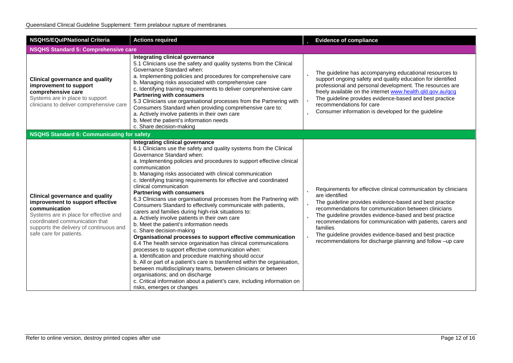| <b>NSQHS/EQuIPNational Criteria</b>                                                                                                                                                                                                           | <b>Actions required</b>                                                                                                                                                                                                                                                                                                                                                                                                                                                                                                                                                                                                                                                                                                                                                                                                                                                                                                                                                                                                                                                                                                                                                                                                                                                                            | <b>b</b> Evidence of compliance                                                                                                                                                                                                                                                                                                                                                                                                                                                                         |  |  |
|-----------------------------------------------------------------------------------------------------------------------------------------------------------------------------------------------------------------------------------------------|----------------------------------------------------------------------------------------------------------------------------------------------------------------------------------------------------------------------------------------------------------------------------------------------------------------------------------------------------------------------------------------------------------------------------------------------------------------------------------------------------------------------------------------------------------------------------------------------------------------------------------------------------------------------------------------------------------------------------------------------------------------------------------------------------------------------------------------------------------------------------------------------------------------------------------------------------------------------------------------------------------------------------------------------------------------------------------------------------------------------------------------------------------------------------------------------------------------------------------------------------------------------------------------------------|---------------------------------------------------------------------------------------------------------------------------------------------------------------------------------------------------------------------------------------------------------------------------------------------------------------------------------------------------------------------------------------------------------------------------------------------------------------------------------------------------------|--|--|
| <b>NSQHS Standard 5: Comprehensive care</b>                                                                                                                                                                                                   |                                                                                                                                                                                                                                                                                                                                                                                                                                                                                                                                                                                                                                                                                                                                                                                                                                                                                                                                                                                                                                                                                                                                                                                                                                                                                                    |                                                                                                                                                                                                                                                                                                                                                                                                                                                                                                         |  |  |
| <b>Clinical governance and quality</b><br>improvement to support<br>comprehensive care<br>Systems are in place to support<br>clinicians to deliver comprehensive care                                                                         | Integrating clinical governance<br>5.1 Clinicians use the safety and quality systems from the Clinical<br>Governance Standard when:<br>a. Implementing policies and procedures for comprehensive care<br>b. Managing risks associated with comprehensive care<br>c. Identifying training requirements to deliver comprehensive care<br><b>Partnering with consumers</b><br>5.3 Clinicians use organisational processes from the Partnering with<br>Consumers Standard when providing comprehensive care to:<br>a. Actively involve patients in their own care<br>b. Meet the patient's information needs<br>c. Share decision-making                                                                                                                                                                                                                                                                                                                                                                                                                                                                                                                                                                                                                                                               | <b>b</b> The guideline has accompanying educational resources to<br>support ongoing safety and quality education for identified<br>professional and personal development. The resources are<br>freely available on the internet www.health.gld.gov.au/gcg<br><b>b</b> The guideline provides evidence-based and best practice<br>recommendations for care<br><b>b</b> Consumer information is developed for the guideline                                                                               |  |  |
| <b>NSQHS Standard 6: Communicating for safety</b>                                                                                                                                                                                             |                                                                                                                                                                                                                                                                                                                                                                                                                                                                                                                                                                                                                                                                                                                                                                                                                                                                                                                                                                                                                                                                                                                                                                                                                                                                                                    |                                                                                                                                                                                                                                                                                                                                                                                                                                                                                                         |  |  |
| <b>Clinical governance and quality</b><br>improvement to support effective<br>communication<br>Systems are in place for effective and<br>coordinated communication that<br>supports the delivery of continuous and<br>safe care for patients. | Integrating clinical governance<br>6.1 Clinicians use the safety and quality systems from the Clinical<br>Governance Standard when:<br>a. Implementing policies and procedures to support effective clinical<br>communication<br>b. Managing risks associated with clinical communication<br>c. Identifying training requirements for effective and coordinated<br>clinical communication<br><b>Partnering with consumers</b><br>6.3 Clinicians use organisational processes from the Partnering with<br>Consumers Standard to effectively communicate with patients,<br>carers and families during high-risk situations to:<br>a. Actively involve patients in their own care<br>b. Meet the patient's information needs<br>c. Share decision-making<br>Organisational processes to support effective communication<br>6.4 The health service organisation has clinical communications<br>processes to support effective communication when:<br>a. Identification and procedure matching should occur<br>b. All or part of a patient's care is transferred within the organisation,<br>between multidisciplinary teams, between clinicians or between<br>organisations; and on discharge<br>c. Critical information about a patient's care, including information on<br>risks, emerges or changes | <b>b</b> Requirements for effective clinical communication by clinicians<br>are identified<br><b>b</b> The guideline provides evidence-based and best practice<br>recommendations for communication between clinicians<br><b>b</b> The guideline provides evidence-based and best practice<br>recommendations for communication with patients, carers and<br>families<br><b>b</b> The guideline provides evidence-based and best practice<br>recommendations for discharge planning and follow -up care |  |  |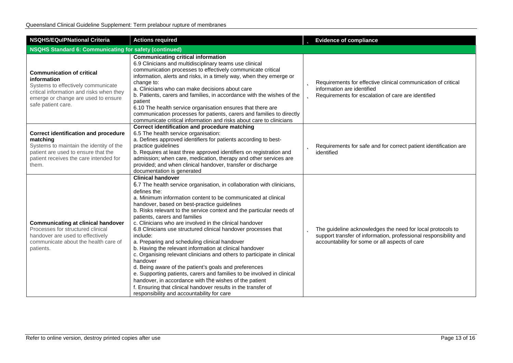| <b>NSQHS/EQuIPNational Criteria</b>                                                                                                                                                            | <b>Actions required</b>                                                                                                                                                                                                                                                                                                                                                                                                                                                                                                                                                                                                                                                                                                                                                                                                                                                                                                                                                                             | <b>b</b> Evidence of compliance                                                                                                                                                           |  |  |
|------------------------------------------------------------------------------------------------------------------------------------------------------------------------------------------------|-----------------------------------------------------------------------------------------------------------------------------------------------------------------------------------------------------------------------------------------------------------------------------------------------------------------------------------------------------------------------------------------------------------------------------------------------------------------------------------------------------------------------------------------------------------------------------------------------------------------------------------------------------------------------------------------------------------------------------------------------------------------------------------------------------------------------------------------------------------------------------------------------------------------------------------------------------------------------------------------------------|-------------------------------------------------------------------------------------------------------------------------------------------------------------------------------------------|--|--|
| <b>NSQHS Standard 6: Communicating for safety (continued)</b>                                                                                                                                  |                                                                                                                                                                                                                                                                                                                                                                                                                                                                                                                                                                                                                                                                                                                                                                                                                                                                                                                                                                                                     |                                                                                                                                                                                           |  |  |
| <b>Communication of critical</b><br>information<br>Systems to effectively communicate<br>critical information and risks when they<br>emerge or change are used to ensure<br>safe patient care. | <b>Communicating critical information</b><br>6.9 Clinicians and multidisciplinary teams use clinical<br>communication processes to effectively communicate critical<br>information, alerts and risks, in a timely way, when they emerge or<br>change to:<br>a. Clinicians who can make decisions about care<br>b. Patients, carers and families, in accordance with the wishes of the<br>patient<br>6.10 The health service organisation ensures that there are<br>communication processes for patients, carers and families to directly<br>communicate critical information and risks about care to clinicians                                                                                                                                                                                                                                                                                                                                                                                     | <b>D</b> Requirements for effective clinical communication of critical<br>information are identified<br><b>b</b> Requirements for escalation of care are identified                       |  |  |
| <b>Correct identification and procedure</b><br>matching<br>Systems to maintain the identity of the<br>patient are used to ensure that the<br>patient receives the care intended for<br>them.   | Correct identification and procedure matching<br>6.5 The health service organisation:<br>a. Defines approved identifiers for patients according to best-<br>practice guidelines<br>b. Requires at least three approved identifiers on registration and<br>admission; when care, medication, therapy and other services are<br>provided; and when clinical handover, transfer or discharge<br>documentation is generated                                                                                                                                                                                                                                                                                                                                                                                                                                                                                                                                                                             | <b>b</b> Requirements for safe and for correct patient identification are<br>identified                                                                                                   |  |  |
| <b>Communicating at clinical handover</b><br>Processes for structured clinical<br>handover are used to effectively<br>communicate about the health care of<br>patients.                        | <b>Clinical handover</b><br>6.7 The health service organisation, in collaboration with clinicians,<br>defines the:<br>a. Minimum information content to be communicated at clinical<br>handover, based on best-practice guidelines<br>b. Risks relevant to the service context and the particular needs of<br>patients, carers and families<br>c. Clinicians who are involved in the clinical handover<br>6.8 Clinicians use structured clinical handover processes that<br>include:<br>a. Preparing and scheduling clinical handover<br>b. Having the relevant information at clinical handover<br>c. Organising relevant clinicians and others to participate in clinical<br>handover<br>d. Being aware of the patient's goals and preferences<br>e. Supporting patients, carers and families to be involved in clinical<br>handover, in accordance with the wishes of the patient<br>f. Ensuring that clinical handover results in the transfer of<br>responsibility and accountability for care | <b>b</b> The guideline acknowledges the need for local protocols to<br>support transfer of information, professional responsibility and<br>accountability for some or all aspects of care |  |  |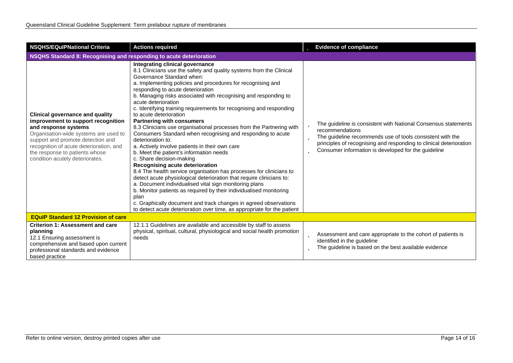| <b>NSQHS/EQulPNational Criteria</b>                                                                                                                                                                                                                                                                | <b>Actions required</b>                                                                                                                                                                                                                                                                                                                                                                                                                                                                                                                                                                                                                                                                                                                                                                                                                                                                                                                                                                                                                                                                                                                                                                                                              | <b>b</b> Evidence of compliance                                                                                                                                                                                                                                                       |  |  |
|----------------------------------------------------------------------------------------------------------------------------------------------------------------------------------------------------------------------------------------------------------------------------------------------------|--------------------------------------------------------------------------------------------------------------------------------------------------------------------------------------------------------------------------------------------------------------------------------------------------------------------------------------------------------------------------------------------------------------------------------------------------------------------------------------------------------------------------------------------------------------------------------------------------------------------------------------------------------------------------------------------------------------------------------------------------------------------------------------------------------------------------------------------------------------------------------------------------------------------------------------------------------------------------------------------------------------------------------------------------------------------------------------------------------------------------------------------------------------------------------------------------------------------------------------|---------------------------------------------------------------------------------------------------------------------------------------------------------------------------------------------------------------------------------------------------------------------------------------|--|--|
| NSQHS Standard 8: Recognising and responding to acute deterioration                                                                                                                                                                                                                                |                                                                                                                                                                                                                                                                                                                                                                                                                                                                                                                                                                                                                                                                                                                                                                                                                                                                                                                                                                                                                                                                                                                                                                                                                                      |                                                                                                                                                                                                                                                                                       |  |  |
| <b>Clinical governance and quality</b><br>improvement to support recognition<br>and response systems<br>Organisation-wide systems are used to<br>support and promote detection and<br>recognition of acute deterioration, and<br>the response to patients whose<br>condition acutely deteriorates. | Integrating clinical governance<br>8.1 Clinicians use the safety and quality systems from the Clinical<br>Governance Standard when:<br>a. Implementing policies and procedures for recognising and<br>responding to acute deterioration<br>b. Managing risks associated with recognising and responding to<br>acute deterioration<br>c. Identifying training requirements for recognising and responding<br>to acute deterioration<br><b>Partnering with consumers</b><br>8.3 Clinicians use organisational processes from the Partnering with<br>Consumers Standard when recognising and responding to acute<br>deterioration to:<br>a. Actively involve patients in their own care<br>b. Meet the patient's information needs<br>c. Share decision-making<br>Recognising acute deterioration<br>8.4 The health service organisation has processes for clinicians to<br>detect acute physiological deterioration that require clinicians to:<br>a. Document individualised vital sign monitoring plans<br>b. Monitor patients as required by their individualised monitoring<br>plan<br>c. Graphically document and track changes in agreed observations<br>to detect acute deterioration over time, as appropriate for the patient | The guideline is consistent with National Consensus statements<br>recommendations<br>The guideline recommends use of tools consistent with the<br>b<br>principles of recognising and responding to clinical deterioration<br>Consumer information is developed for the guideline<br>b |  |  |
| <b>EQuIP Standard 12 Provision of care</b>                                                                                                                                                                                                                                                         |                                                                                                                                                                                                                                                                                                                                                                                                                                                                                                                                                                                                                                                                                                                                                                                                                                                                                                                                                                                                                                                                                                                                                                                                                                      |                                                                                                                                                                                                                                                                                       |  |  |
| <b>Criterion 1: Assessment and care</b><br>planning<br>12.1 Ensuring assessment is<br>comprehensive and based upon current<br>professional standards and evidence<br>based practice                                                                                                                | 12.1.1 Guidelines are available and accessible by staff to assess<br>physical, spiritual, cultural, physiological and social health promotion<br>needs                                                                                                                                                                                                                                                                                                                                                                                                                                                                                                                                                                                                                                                                                                                                                                                                                                                                                                                                                                                                                                                                               | Assessment and care appropriate to the cohort of patients is<br>Þ<br>identified in the guideline<br>The guideline is based on the best available evidence<br>ь                                                                                                                        |  |  |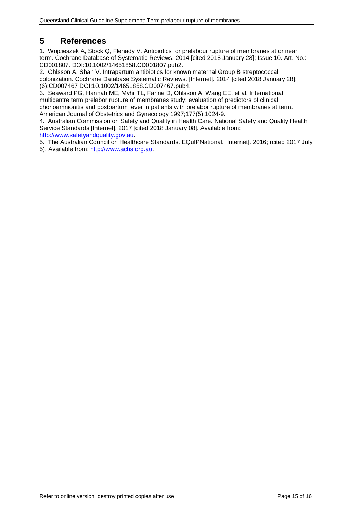# <span id="page-14-0"></span>**5 References**

1. Wojcieszek A, Stock Q, Flenady V. Antibiotics for prelabour rupture of membranes at or near term. Cochrane Database of Systematic Reviews. 2014 [cited 2018 January 28]; Issue 10. Art. No.: CD001807. DOI:10.1002/14651858.CD001807.pub2.

2. Ohlsson A, Shah V. Intrapartum antibiotics for known maternal Group B streptococcal colonization. Cochrane Database Systematic Reviews. [Internet]. 2014 [cited 2018 January 28]; (6):CD007467 DOI:10.1002/14651858.CD007467.pub4.

3. Seaward PG, Hannah ME, Myhr TL, Farine D, Ohlsson A, Wang EE, et al. International multicentre term prelabor rupture of membranes study: evaluation of predictors of clinical chorioamnionitis and postpartum fever in patients with prelabor rupture of membranes at term. American Journal of Obstetrics and Gynecology 1997;177(5):1024-9.

4. Australian Commission on Safety and Quality in Health Care. National Safety and Quality Health Service Standards [Internet]. 2017 [cited 2018 January 08]. Available from: [http://www.safetyandquality.gov.au.](http://www.safetyandquality.gov.au/)

5. The Australian Council on Healthcare Standards. EQuIPNational. [Internet]. 2016; (cited 2017 July 5). Available from: [http://www.achs.org.au.](http://www.achs.org.au/)